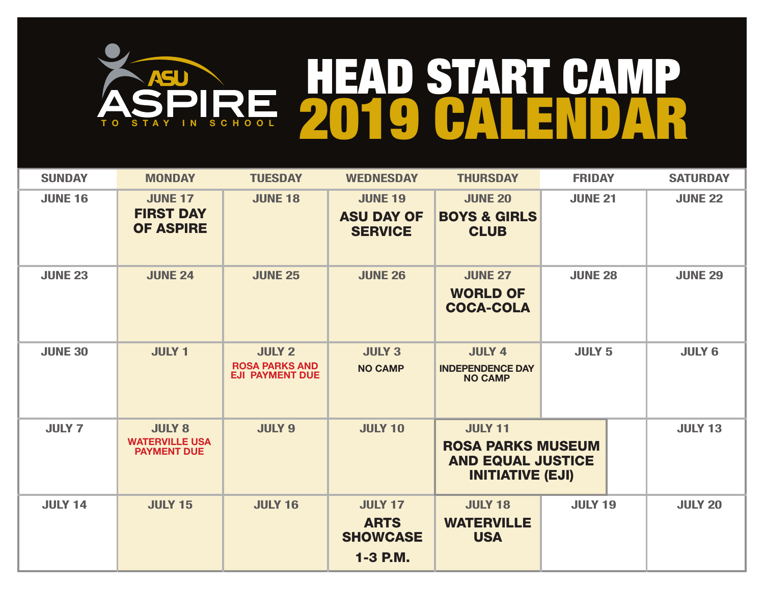

| <b>SUNDAY</b>  | <b>MONDAY</b>                                                | <b>TUESDAY</b>                                                   | <b>WEDNESDAY</b>                                             | <b>THURSDAY</b>                                                                                   | <b>FRIDAY</b>  | <b>SATURDAY</b> |
|----------------|--------------------------------------------------------------|------------------------------------------------------------------|--------------------------------------------------------------|---------------------------------------------------------------------------------------------------|----------------|-----------------|
| <b>JUNE 16</b> | <b>JUNE 17</b><br><b>FIRST DAY</b><br><b>OF ASPIRE</b>       | <b>JUNE 18</b>                                                   | <b>JUNE 19</b><br><b>ASU DAY OF</b><br><b>SERVICE</b>        | <b>JUNE 20</b><br><b>BOYS &amp; GIRLS</b><br><b>CLUB</b>                                          | <b>JUNE 21</b> | <b>JUNE 22</b>  |
| <b>JUNE 23</b> | <b>JUNE 24</b>                                               | <b>JUNE 25</b>                                                   | <b>JUNE 26</b>                                               | <b>JUNE 27</b><br><b>WORLD OF</b><br><b>COCA-COLA</b>                                             | <b>JUNE 28</b> | <b>JUNE 29</b>  |
| <b>JUNE 30</b> | <b>JULY 1</b>                                                | <b>JULY 2</b><br><b>ROSA PARKS AND</b><br><b>EJI PAYMENT DUE</b> | <b>JULY 3</b><br><b>NO CAMP</b>                              | <b>JULY 4</b><br><b>INDEPENDENCE DAY</b><br><b>NO CAMP</b>                                        | <b>JULY 5</b>  | <b>JULY 6</b>   |
| <b>JULY 7</b>  | <b>JULY 8</b><br><b>WATERVILLE USA</b><br><b>PAYMENT DUE</b> | <b>JULY 9</b>                                                    | <b>JULY 10</b>                                               | <b>JULY 11</b><br><b>ROSA PARKS MUSEUM</b><br><b>AND EQUAL JUSTICE</b><br><b>INITIATIVE (EJI)</b> |                | <b>JULY 13</b>  |
| <b>JULY 14</b> | <b>JULY 15</b>                                               | <b>JULY 16</b>                                                   | <b>JULY 17</b><br><b>ARTS</b><br><b>SHOWCASE</b><br>1-3 P.M. | <b>JULY 18</b><br><b>WATERVILLE</b><br><b>USA</b>                                                 | <b>JULY 19</b> | <b>JULY 20</b>  |